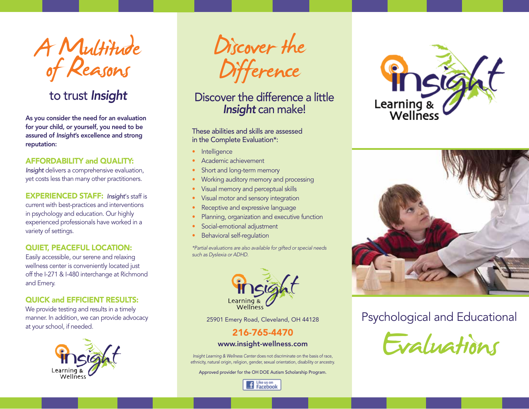A Multitude Discover the<br>of Reasons Difference

## to trust *Insight*

As you consider the need for an evaluation for your child, or yourself, you need to be assured of *Insight*'s excellence and strong reputation:

### AFFORDABILITY and QUALITY:

*Insight* delivers a comprehensive evaluation, yet costs less than many other practitioners.

EXPERIENCED STAFF: *Insight*'s staff is current with best-practices and interventions in psychology and education. Our highly experienced professionals have worked in a variety of settings.

### QUIET, PEACEFUL LOCATION:

Easily accessible, our serene and relaxing wellness center is conveniently located just off the I-271 & I-480 interchange at Richmond and Emery.

### QUICK and EFFICIENT RESULTS:

We provide testing and results in a timely manner. In addition, we can provide advocacy at your school, if needed.



## Discover the difference a little *Insight* can make!

These abilities and skills are assessed in the Complete Evaluation\*:

- Intelligence
- Academic achievement
- Short and long-term memory
- Working auditory memory and processing
- Visual memory and perceptual skills
- Visual motor and sensory integration
- Receptive and expressive language
- Planning, organization and executive function
- Social-emotional adjustment
- Behavioral self-regulation

*\*Partial evaluations are also available for gifted or special needs such as Dyslexia or ADHD.*



25901 Emery Road, Cleveland, OH 44128

### 216-765-4470

### www.insight-wellness.com

*Insight Learning & Wellness Center* does not discriminate on the basis of race, ethnicity, natural origin, religion, gender, sexual orientation, disability or ancestry.

Approved provider for the OH DOE Autism Scholarship Program.







## Psychological and Educational